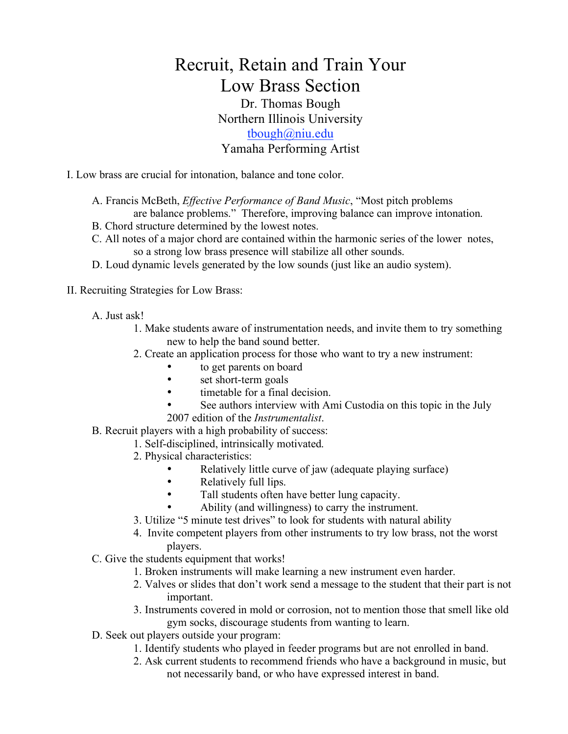## Recruit, Retain and Train Your Low Brass Section

## Dr. Thomas Bough Northern Illinois University tbough@niu.edu

## Yamaha Performing Artist

I. Low brass are crucial for intonation, balance and tone color.

- A. Francis McBeth, *Effective Performance of Band Music*, "Most pitch problems
- are balance problems." Therefore, improving balance can improve intonation.
- B. Chord structure determined by the lowest notes.
- C. All notes of a major chord are contained within the harmonic series of the lower notes, so a strong low brass presence will stabilize all other sounds.
- D. Loud dynamic levels generated by the low sounds (just like an audio system).
- II. Recruiting Strategies for Low Brass:
	- A. Just ask!
		- 1. Make students aware of instrumentation needs, and invite them to try something new to help the band sound better.
		- 2. Create an application process for those who want to try a new instrument:
			- to get parents on board<br>• set short-term goals
			- set short-term goals
			- timetable for a final decision.
			- See authors interview with Ami Custodia on this topic in the July 2007 edition of the *Instrumentalist*.
	- B. Recruit players with a high probability of success:
		- 1. Self-disciplined, intrinsically motivated.
			- 2. Physical characteristics:
				- Relatively little curve of jaw (adequate playing surface)
				- Relatively full lips.
				- Tall students often have better lung capacity.
				- Ability (and willingness) to carry the instrument.
			- 3. Utilize "5 minute test drives" to look for students with natural ability
			- 4. Invite competent players from other instruments to try low brass, not the worst players.
	- C. Give the students equipment that works!
		- 1. Broken instruments will make learning a new instrument even harder.
		- 2. Valves or slides that don't work send a message to the student that their part is not important.
		- 3. Instruments covered in mold or corrosion, not to mention those that smell like old gym socks, discourage students from wanting to learn.
	- D. Seek out players outside your program:
		- 1. Identify students who played in feeder programs but are not enrolled in band.
		- 2. Ask current students to recommend friends who have a background in music, but not necessarily band, or who have expressed interest in band.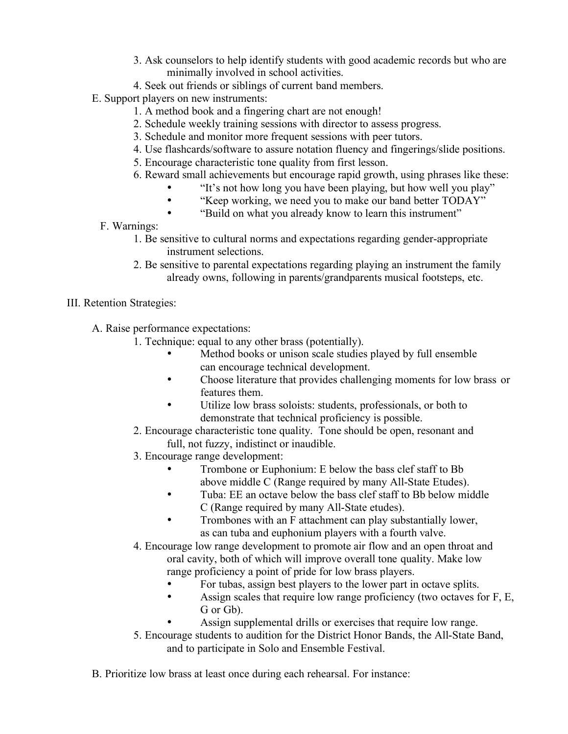- 3. Ask counselors to help identify students with good academic records but who are minimally involved in school activities.
- 4. Seek out friends or siblings of current band members.
- E. Support players on new instruments:
	- 1. A method book and a fingering chart are not enough!
	- 2. Schedule weekly training sessions with director to assess progress.
	- 3. Schedule and monitor more frequent sessions with peer tutors.
	- 4. Use flashcards/software to assure notation fluency and fingerings/slide positions.
		- 5. Encourage characteristic tone quality from first lesson.
		- 6. Reward small achievements but encourage rapid growth, using phrases like these:
			- "It's not how long you have been playing, but how well you play"
			- "Keep working, we need you to make our band better TODAY"<br>• "Build on what you already know to learn this instrument"
			- "Build on what you already know to learn this instrument"
	- F. Warnings:
		- 1. Be sensitive to cultural norms and expectations regarding gender-appropriate instrument selections.
		- 2. Be sensitive to parental expectations regarding playing an instrument the family already owns, following in parents/grandparents musical footsteps, etc.
- III. Retention Strategies:
	- A. Raise performance expectations:
		- 1. Technique: equal to any other brass (potentially).
			- Method books or unison scale studies played by full ensemble can encourage technical development.
			- Choose literature that provides challenging moments for low brass or features them.
			- Utilize low brass soloists: students, professionals, or both to demonstrate that technical proficiency is possible.
		- 2. Encourage characteristic tone quality. Tone should be open, resonant and full, not fuzzy, indistinct or inaudible.
		- 3. Encourage range development:
			- Trombone or Euphonium: E below the bass clef staff to Bb above middle C (Range required by many All-State Etudes).
			- Tuba: EE an octave below the bass clef staff to Bb below middle C (Range required by many All-State etudes).
			- Trombones with an F attachment can play substantially lower, as can tuba and euphonium players with a fourth valve.
		- 4. Encourage low range development to promote air flow and an open throat and oral cavity, both of which will improve overall tone quality. Make low range proficiency a point of pride for low brass players.
			- For tubas, assign best players to the lower part in octave splits.<br>• Assign scales that require low range proficiency (two octaves for
			- Assign scales that require low range proficiency (two octaves for F, E, G or Gb).
			- Assign supplemental drills or exercises that require low range.
		- 5. Encourage students to audition for the District Honor Bands, the All-State Band, and to participate in Solo and Ensemble Festival.
	- B. Prioritize low brass at least once during each rehearsal. For instance: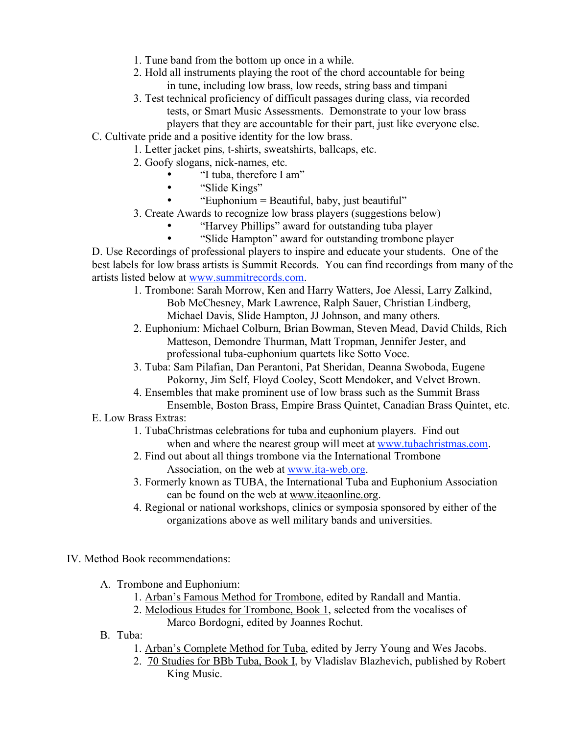- 1. Tune band from the bottom up once in a while.
- 2. Hold all instruments playing the root of the chord accountable for being in tune, including low brass, low reeds, string bass and timpani
- 3. Test technical proficiency of difficult passages during class, via recorded tests, or Smart Music Assessments. Demonstrate to your low brass players that they are accountable for their part, just like everyone else.
- C. Cultivate pride and a positive identity for the low brass.
	- 1. Letter jacket pins, t-shirts, sweatshirts, ballcaps, etc.
		- 2. Goofy slogans, nick-names, etc.
			- "I tuba, therefore I am"
			- "Slide Kings"
			- "Euphonium = Beautiful, baby, just beautiful"
		- 3. Create Awards to recognize low brass players (suggestions below)
			- "Harvey Phillips" award for outstanding tuba player
			- "Slide Hampton" award for outstanding trombone player

D. Use Recordings of professional players to inspire and educate your students. One of the best labels for low brass artists is Summit Records. You can find recordings from many of the artists listed below at www.summitrecords.com.

- 1. Trombone: Sarah Morrow, Ken and Harry Watters, Joe Alessi, Larry Zalkind, Bob McChesney, Mark Lawrence, Ralph Sauer, Christian Lindberg, Michael Davis, Slide Hampton, JJ Johnson, and many others.
- 2. Euphonium: Michael Colburn, Brian Bowman, Steven Mead, David Childs, Rich Matteson, Demondre Thurman, Matt Tropman, Jennifer Jester, and professional tuba-euphonium quartets like Sotto Voce.
- 3. Tuba: Sam Pilafian, Dan Perantoni, Pat Sheridan, Deanna Swoboda, Eugene Pokorny, Jim Self, Floyd Cooley, Scott Mendoker, and Velvet Brown.
- 4. Ensembles that make prominent use of low brass such as the Summit Brass Ensemble, Boston Brass, Empire Brass Quintet, Canadian Brass Quintet, etc.
- E. Low Brass Extras:
	- 1. TubaChristmas celebrations for tuba and euphonium players. Find out when and where the nearest group will meet at www.tubachristmas.com.
	- 2. Find out about all things trombone via the International Trombone Association, on the web at www.ita-web.org.
	- 3. Formerly known as TUBA, the International Tuba and Euphonium Association can be found on the web at www.iteaonline.org.
	- 4. Regional or national workshops, clinics or symposia sponsored by either of the organizations above as well military bands and universities.

IV. Method Book recommendations:

- A. Trombone and Euphonium:
	- 1. Arban's Famous Method for Trombone, edited by Randall and Mantia.
	- 2. Melodious Etudes for Trombone, Book 1, selected from the vocalises of Marco Bordogni, edited by Joannes Rochut.
- B. Tuba:
	- 1. Arban's Complete Method for Tuba, edited by Jerry Young and Wes Jacobs.
	- 2. 70 Studies for BBb Tuba, Book I, by Vladislav Blazhevich, published by Robert King Music.